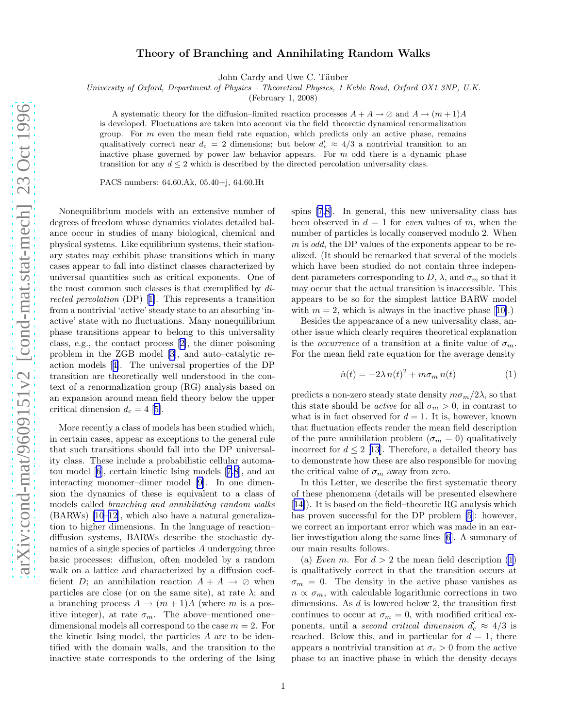## Theory of Branching and Annihilating Random Walks

John Cardy and Uwe C. Täuber

<span id="page-0-0"></span>University of Oxford, Department of Physics – Theoretical Physics, 1 Keble Road, Oxford OX1 3NP, U.K.

(February 1, 2008)

A systematic theory for the diffusion–limited reaction processes  $A + A \rightarrow \emptyset$  and  $A \rightarrow (m+1)A$ is developed. Fluctuations are taken into account via the field–theoretic dynamical renormalization group. For m even the mean field rate equation, which predicts only an active phase, remains qualitatively correct near  $d_c = 2$  dimensions; but below  $d'_c \approx 4/3$  a nontrivial transition to an inactive phase governed by power law behavior appears. For  $m$  odd there is a dynamic phase transition for any  $d \leq 2$  which is described by the directed percolation universality class.

PACS numbers: 64.60.Ak, 05.40+j, 64.60.Ht

Nonequilibrium models with an extensive number of degrees of freedom whose dynamics violates detailed balance occur in studies of many biological, chemical and physical systems. Like equilibrium systems, their stationary states may exhibit phase transitions which in many cases appear to fall into distinct classes characterized by universal quantities such as critical exponents. One of the most common such classes is that exemplified by directed percolation (DP)[[1\]](#page-3-0). This represents a transition from a nontrivial 'active' steady state to an absorbing 'inactive' state with no fluctuations. Many nonequilibrium phase transitions appear to belong to this universality class, e.g., the contact process[[2\]](#page-3-0), the dimer poisoning problem in the ZGB model[[3\]](#page-3-0), and auto–catalytic reaction models[[4\]](#page-3-0). The universal properties of the DP transition are theoretically well understood in the context of a renormalization group (RG) analysis based on an expansion around mean field theory below the upper criticaldimension  $d_c = 4$  [[5\]](#page-3-0).

More recently a class of models has been studied which, in certain cases, appear as exceptions to the general rule that such transitions should fall into the DP universality class. These include a probabilistic cellular automaton model[[6\]](#page-3-0), certain kinetic Ising models[[7,8\]](#page-3-0), and an interacting monomer–dimer model [\[9](#page-3-0)]. In one dimension the dynamics of these is equivalent to a class of models called branching and annihilating random walks (BARWs)[[10](#page-3-0)[–12\]](#page-4-0), which also have a natural generalization to higher dimensions. In the language of reaction– diffusion systems, BARWs describe the stochastic dynamics of a single species of particles A undergoing three basic processes: diffusion, often modeled by a random walk on a lattice and characterized by a diffusion coefficient D; an annihilation reaction  $A + A \rightarrow \emptyset$  when particles are close (or on the same site), at rate  $\lambda$ ; and a branching process  $A \to (m+1)A$  (where m is a positive integer), at rate  $\sigma_m$ . The above–mentioned one– dimensional models all correspond to the case  $m = 2$ . For the kinetic Ising model, the particles A are to be identified with the domain walls, and the transition to the inactive state corresponds to the ordering of the Ising spins [\[7](#page-3-0),[8\]](#page-3-0). In general, this new universality class has been observed in  $d = 1$  for even values of m, when the number of particles is locally conserved modulo 2. When m is odd, the DP values of the exponents appear to be realized. (It should be remarked that several of the models which have been studied do not contain three independent parameters corresponding to  $D$ ,  $\lambda$ , and  $\sigma_m$  so that it may occur that the actual transition is inaccessible. This appears to be so for the simplest lattice BARW model with $m = 2$ , which is always in the inactive phase [[10\]](#page-3-0).)

Besides the appearance of a new universality class, another issue which clearly requires theoretical explanation is the *occurrence* of a transition at a finite value of  $\sigma_m$ . For the mean field rate equation for the average density

$$
\dot{n}(t) = -2\lambda \, n(t)^2 + m\sigma_m \, n(t) \tag{1}
$$

predicts a non-zero steady state density  $m\sigma_m/2\lambda$ , so that this state should be *active* for all  $\sigma_m > 0$ , in contrast to what is in fact observed for  $d = 1$ . It is, however, known that fluctuation effects render the mean field description of the pure annihilation problem  $(\sigma_m = 0)$  qualitatively incorrectfor  $d \leq 2$  [[13](#page-4-0)]. Therefore, a detailed theory has to demonstrate how these are also responsible for moving the critical value of  $\sigma_m$  away from zero.

In this Letter, we describe the first systematic theory of these phenomena (details will be presented elsewhere [[14\]](#page-4-0)). It is based on the field–theoretic RG analysis which has proven successful for the DP problem [\[5](#page-3-0)]: however, we correct an important error which was made in an earlier investigation along the same lines [\[6](#page-3-0)]. A summary of our main results follows.

(a) Even m. For  $d > 2$  the mean field description (1) is qualitatively correct in that the transition occurs at  $\sigma_m = 0$ . The density in the active phase vanishes as  $n \propto \sigma_m$ , with calculable logarithmic corrections in two dimensions. As d is lowered below 2, the transition first continues to occur at  $\sigma_m = 0$ , with modified critical exponents, until a second critical dimension  $d'_{c} \approx 4/3$  is reached. Below this, and in particular for  $d = 1$ , there appears a nontrivial transition at  $\sigma_c > 0$  from the active phase to an inactive phase in which the density decays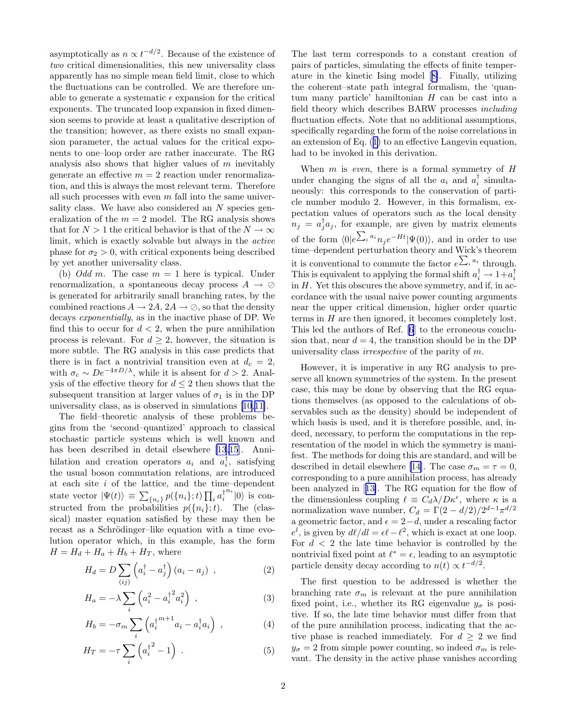asymptotically as  $n \propto t^{-d/2}$ . Because of the existence of two critical dimensionalities, this new universality class apparently has no simple mean field limit, close to which the fluctuations can be controlled. We are therefore unable to generate a systematic  $\epsilon$  expansion for the critical exponents. The truncated loop expansion in fixed dimension seems to provide at least a qualitative description of the transition; however, as there exists no small expansion parameter, the actual values for the critical exponents to one–loop order are rather inaccurate. The RG analysis also shows that higher values of  $m$  inevitably generate an effective  $m = 2$  reaction under renormalization, and this is always the most relevant term. Therefore all such processes with even  $m$  fall into the same universality class. We have also considered an  $N$  species generalization of the  $m = 2$  model. The RG analysis shows that for  $N > 1$  the critical behavior is that of the  $N \to \infty$ limit, which is exactly solvable but always in the active phase for  $\sigma_2 > 0$ , with critical exponents being described by yet another universality class.

(b) *Odd m*. The case  $m = 1$  here is typical. Under renormalization, a spontaneous decay process  $A \rightarrow \emptyset$ is generated for arbitrarily small branching rates, by the combined reactions  $A \to 2A$ ,  $2A \to \emptyset$ , so that the density decays exponentially, as in the inactive phase of DP. We find this to occur for  $d < 2$ , when the pure annihilation process is relevant. For  $d \geq 2$ , however, the situation is more subtle. The RG analysis in this case predicts that there is in fact a nontrivial transition even at  $d_c = 2$ , with  $\sigma_c \sim De^{-4\pi D/\lambda}$ , while it is absent for  $d > 2$ . Analysis of the effective theory for  $d \leq 2$  then shows that the subsequent transition at larger values of  $\sigma_1$  is in the DP universality class, as is observed in simulations [\[10](#page-3-0),[11\]](#page-3-0).

The field–theoretic analysis of these problems begins from the 'second–quantized' approach to classical stochastic particle systems which is well known and has been described in detail elsewhere [\[13,15](#page-4-0)]. Annihilation and creation operators  $a_i$  and  $a_i^{\dagger}$ , satisfying the usual boson commutation relations, are introduced at each site  $i$  of the lattice, and the time-dependent state vector  $|\Psi(t)\rangle \equiv \sum_{\{n_i\}} p(\{n_i\};t) \prod_i a_i^{\dagger}$  $n_i|0\rangle$  is constructed from the probabilities  $p({n_i};t)$ . The (classical) master equation satisfied by these may then be recast as a Schrödinger–like equation with a time evolution operator which, in this example, has the form  $H = H_d + H_a + H_b + H_T$ , where

$$
H_d = D \sum_{(ij)} \left( a_i^\dagger - a_j^\dagger \right) (a_i - a_j) \tag{2}
$$

$$
H_a = -\lambda \sum_i \left( a_i^2 - a_i^{\dagger 2} a_i^2 \right) , \qquad (3)
$$

$$
H_b = -\sigma_m \sum_i \left( a_i^{\dagger m+1} a_i - a_i^{\dagger} a_i \right) , \qquad (4)
$$

$$
H_T = -\tau \sum_i \left( a_i^{\dagger^2} - 1 \right) \ . \tag{5}
$$

The last term corresponds to a constant creation of pairs of particles, simulating the effects of finite temperature in the kinetic Ising model[[8\]](#page-3-0). Finally, utilizing the coherent–state path integral formalism, the 'quantum many particle' hamiltonian  $H$  can be cast into a field theory which describes BARW processes including fluctuation effects. Note that no additional assumptions, specifically regarding the form of the noise correlations in an extension of Eq.([1\)](#page-0-0) to an effective Langevin equation, had to be invoked in this derivation.

When  $m$  is even, there is a formal symmetry of  $H$ under changing the signs of all the  $a_i$  and  $a_i^{\dagger}$  simultaneously: this corresponds to the conservation of particle number modulo 2. However, in this formalism, expectation values of operators such as the local density  $n_j = a_j^{\dagger} a_j$ , for example, are given by matrix elements of the form  $\langle 0 | e^{\sum_i a_i} n_j e^{-Ht} | \Psi(0) \rangle$ , and in order to use time–dependent perturbation theory and Wick's theorem it is conventional to commute the factor  $e^{\sum_i a_i}$  through. This is equivalent to applying the formal shift  $a_i^{\dagger} \rightarrow 1 + a_i^{\dagger}$ in  $H$ . Yet this obscures the above symmetry, and if, in accordance with the usual naive power counting arguments near the upper critical dimension, higher order quartic terms in  $H$  are then ignored, it becomes completely lost. This led the authors of Ref. [\[6](#page-3-0)] to the erroneous conclusion that, near  $d = 4$ , the transition should be in the DP universality class irrespective of the parity of m.

However, it is imperative in any RG analysis to preserve all known symmetries of the system. In the present case, this may be done by observing that the RG equations themselves (as opposed to the calculations of observables such as the density) should be independent of which basis is used, and it is therefore possible, and, indeed, necessary, to perform the computations in the representation of the model in which the symmetry is manifest. The methods for doing this are standard, and will be described in detail elsewhere [\[14\]](#page-4-0). The case  $\sigma_m = \tau = 0$ , corresponding to a pure annihilation process, has already been analyzed in[[13\]](#page-4-0). The RG equation for the flow of the dimensionless coupling  $\ell \equiv C_d \lambda / D \kappa^{\epsilon}$ , where  $\kappa$  is a normalization wave number,  $C_d = \Gamma(2 - d/2)/2^{d-1}\pi^{d/2}$ a geometric factor, and  $\epsilon = 2-d$ , under a rescaling factor  $e^l$ , is given by  $d\ell/dl = \epsilon \ell - \ell^2$ , which is exact at one loop. For  $d \leq 2$  the late time behavior is controlled by the nontrivial fixed point at  $\ell^* = \epsilon$ , leading to an asymptotic particle density decay according to  $n(t) \propto t^{-d/2}$ .

The first question to be addressed is whether the branching rate  $\sigma_m$  is relevant at the pure annihilation fixed point, i.e., whether its RG eigenvalue  $y_{\sigma}$  is positive. If so, the late time behavior must differ from that of the pure annihilation process, indicating that the active phase is reached immediately. For  $d \geq 2$  we find  $y_{\sigma} = 2$  from simple power counting, so indeed  $\sigma_m$  is relevant. The density in the active phase vanishes according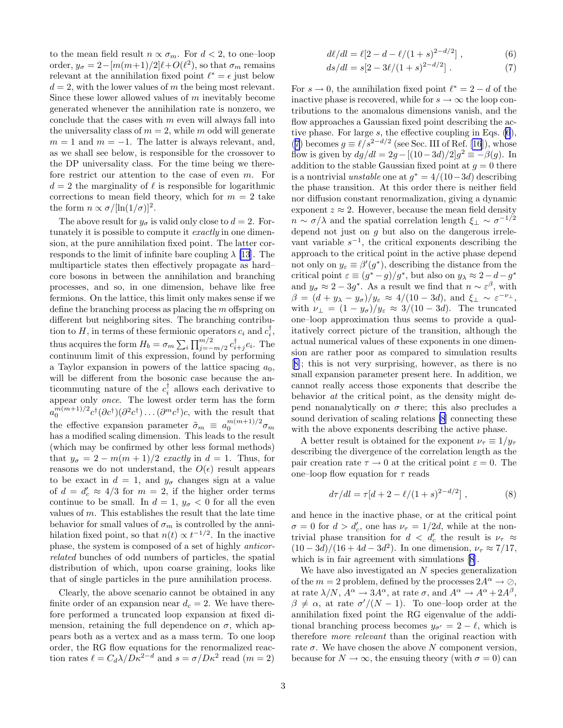to the mean field result  $n \propto \sigma_m$ . For  $d < 2$ , to one–loop order,  $y_{\sigma} = 2 - [m(m+1)/2] \ell + O(\ell^2)$ , so that  $\sigma_m$  remains relevant at the annihilation fixed point  $\ell^* = \epsilon$  just below  $d = 2$ , with the lower values of m the being most relevant. Since these lower allowed values of  $m$  inevitably become generated whenever the annihilation rate is nonzero, we conclude that the cases with  $m$  even will always fall into the universality class of  $m = 2$ , while m odd will generate  $m = 1$  and  $m = -1$ . The latter is always relevant, and, as we shall see below, is responsible for the crossover to the DP universality class. For the time being we therefore restrict our attention to the case of even m. For  $d = 2$  the marginality of  $\ell$  is responsible for logarithmic corrections to mean field theory, which for  $m = 2$  take the form  $n \propto \sigma/[\ln(1/\sigma)]^2$ .

The above result for  $y_{\sigma}$  is valid only close to  $d = 2$ . Fortunately it is possible to compute it *exactly* in one dimension, at the pure annihilation fixed point. The latter corresponds to the limit of infinite bare coupling  $\lambda$  [\[13](#page-4-0)]. The multiparticle states then effectively propagate as hard– core bosons in between the annihilation and branching processes, and so, in one dimension, behave like free fermions. On the lattice, this limit only makes sense if we define the branching process as placing the m offspring on different but neighboring sites. The branching contribution to H, in terms of these fermionic operators  $c_i$  and  $c_i^{\dagger}$ , thus acquires the form  $H_b = \sigma_m \sum_i \prod_{j=-m/2}^{m/2} c_{i+j}^{\dagger} c_i$ . The continuum limit of this expression, found by performing a Taylor expansion in powers of the lattice spacing  $a_0$ , will be different from the bosonic case because the anticommuting nature of the  $c_i^{\dagger}$  allows each derivative to appear only once. The lowest order term has the form  $a_0^{m(m+1)/2}c^{\dagger}(\partial c^{\dagger})(\partial^2 c^{\dagger})\dots(\partial^mc^{\dagger})c$ , with the result that the effective expansion parameter  $\tilde{\sigma}_m \equiv a_0^{m(m+1)/2} \sigma_m$ has a modified scaling dimension. This leads to the result (which may be confirmed by other less formal methods) that  $y_{\sigma} = 2 - m(m+1)/2$  exactly in  $d = 1$ . Thus, for reasons we do not understand, the  $O(\epsilon)$  result appears to be exact in  $d = 1$ , and  $y_{\sigma}$  changes sign at a value of  $d = d'_c \approx 4/3$  for  $m = 2$ , if the higher order terms continue to be small. In  $d = 1$ ,  $y_{\sigma} < 0$  for all the even values of  $m$ . This establishes the result that the late time behavior for small values of  $\sigma_m$  is controlled by the annihilation fixed point, so that  $n(t) \propto t^{-1/2}$ . In the inactive phase, the system is composed of a set of highly anticorrelated bunches of odd numbers of particles, the spatial distribution of which, upon coarse graining, looks like that of single particles in the pure annihilation process.

Clearly, the above scenario cannot be obtained in any finite order of an expansion near  $d_c = 2$ . We have therefore performed a truncated loop expansion at fixed dimension, retaining the full dependence on  $\sigma$ , which appears both as a vertex and as a mass term. To one loop order, the RG flow equations for the renormalized reaction rates  $\ell = C_d \lambda / D \kappa^{2-d}$  and  $s = \sigma / D \kappa^2$  read  $(m = 2)$ 

$$
d\ell/dl = \ell[2 - d - \ell/(1+s)^{2-d/2}], \qquad (6)
$$

$$
ds/dl = s[2 - 3\ell/(1 + s)^{2 - d/2}].
$$
 (7)

For  $s \to 0$ , the annihilation fixed point  $\ell^* = 2 - d$  of the inactive phase is recovered, while for  $s \to \infty$  the loop contributions to the anomalous dimensions vanish, and the flow approaches a Gaussian fixed point describing the active phase. For large  $s$ , the effective coupling in Eqs.  $(6)$ , (7) becomes  $g \equiv \ell/s^{2-d/2}$  (see Sec. III of Ref. [\[16](#page-4-0)]), whose flow is given by  $dg/dl = 2g - [(10-3d)/2]g^2 \equiv -\beta(g)$ . In addition to the stable Gaussian fixed point at  $g = 0$  there is a nontrivial unstable one at  $g^* = 4/(10-3d)$  describing the phase transition. At this order there is neither field nor diffusion constant renormalization, giving a dynamic exponent  $z \approx 2$ . However, because the mean field density  $n \sim \sigma/\lambda$  and the spatial correlation length  $\xi_{\perp} \sim \sigma^{-1/2}$ depend not just on  $q$  but also on the dangerous irrelevant variable  $s^{-1}$ , the critical exponents describing the approach to the critical point in the active phase depend not only on  $y_{\varepsilon} \equiv \beta'(g^*)$ , describing the distance from the critical point  $\varepsilon \equiv (g^* - g)/g^*$ , but also on  $y_\lambda \approx 2 - d - g^*$ and  $y_{\sigma} \approx 2 - 3g^*$ . As a result we find that  $n \sim \varepsilon^{\beta}$ , with  $\beta = (d + y_{\lambda} - y_{\sigma})/y_{\varepsilon} \approx 4/(10 - 3d), \text{ and } \xi_{\perp} \sim \varepsilon^{-\nu_{\perp}},$ with  $\nu_{\perp} = (1 - y_{\sigma})/y_{\varepsilon} \approx 3/(10 - 3d)$ . The truncated one–loop approximation thus seems to provide a qualitatively correct picture of the transition, although the actual numerical values of these exponents in one dimension are rather poor as compared to simulation results [[8\]](#page-3-0); this is not very surprising, however, as there is no small expansion parameter present here. In addition, we cannot really access those exponents that describe the behavior at the critical point, as the density might depend nonanalytically on  $\sigma$  there; this also precludes a sound derivation of scaling relations [\[8](#page-3-0)] connecting these with the above exponents describing the active phase.

A better result is obtained for the exponent  $\nu_{\tau} \equiv 1/y_{\tau}$ describing the divergence of the correlation length as the pair creation rate  $\tau \to 0$  at the critical point  $\varepsilon = 0$ . The one–loop flow equation for  $\tau$  reads

$$
d\tau/dl = \tau[d+2-\ell/(1+s)^{2-d/2}], \qquad (8)
$$

and hence in the inactive phase, or at the critical point  $\sigma = 0$  for  $d > d'_c$ , one has  $\nu_{\tau} = 1/2d$ , while at the nontrivial phase transition for  $d \langle d'_{c} \rangle$  the result is  $\nu_{\tau} \approx$  $(10-3d)/(16+4d-3d^2)$ . In one dimension,  $\nu_{\tau} \approx 7/17$ , which is in fair agreement with simulations[[8](#page-3-0)].

We have also investigated an  $N$  species generalization of the  $m = 2$  problem, defined by the processes  $2A^{\alpha} \rightarrow \emptyset$ , at rate  $\lambda/N$ ,  $A^{\alpha} \rightarrow 3A^{\alpha}$ , at rate  $\sigma$ , and  $A^{\alpha} \rightarrow A^{\alpha} + 2A^{\beta}$ ,  $\beta \neq \alpha$ , at rate  $\sigma'/(N-1)$ . To one-loop order at the annihilation fixed point the RG eigenvalue of the additional branching process becomes  $y_{\sigma'} = 2 - \ell$ , which is therefore more relevant than the original reaction with rate  $\sigma$ . We have chosen the above N component version, because for  $N \to \infty$ , the ensuing theory (with  $\sigma = 0$ ) can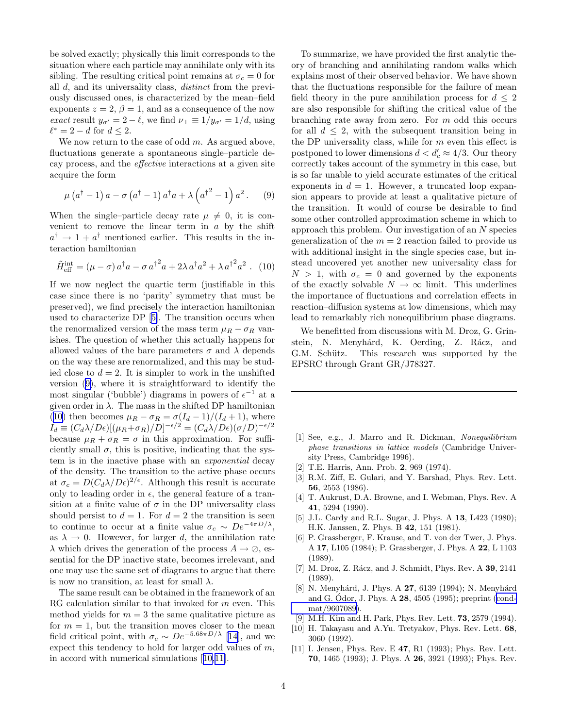<span id="page-3-0"></span>be solved exactly; physically this limit corresponds to the situation where each particle may annihilate only with its sibling. The resulting critical point remains at  $\sigma_c = 0$  for all d, and its universality class, distinct from the previously discussed ones, is characterized by the mean–field exponents  $z = 2$ ,  $\beta = 1$ , and as a consequence of the now exact result  $y_{\sigma'} = 2 - \ell$ , we find  $\nu_{\perp} \equiv 1/y_{\sigma'} = 1/d$ , using  $\ell^* = 2 - d$  for  $d \leq 2$ .

We now return to the case of odd  $m$ . As argued above, fluctuations generate a spontaneous single–particle decay process, and the effective interactions at a given site acquire the form

$$
\mu\left(a^{\dagger}-1\right)a-\sigma\left(a^{\dagger}-1\right)a^{\dagger}a+\lambda\left(a^{\dagger^2}-1\right)a^2.\qquad(9)
$$

When the single–particle decay rate  $\mu \neq 0$ , it is convenient to remove the linear term in  $a$  by the shift  $a^{\dagger} \rightarrow 1 + a^{\dagger}$  mentioned earlier. This results in the interaction hamiltonian

$$
\tilde{H}_{\text{eff}}^{\text{int}} = (\mu - \sigma) a^{\dagger} a - \sigma a^{\dagger} a^2 + 2\lambda a^{\dagger} a^2 + \lambda a^{\dagger} a^2. (10)
$$

If we now neglect the quartic term (justifiable in this case since there is no 'parity' symmetry that must be preserved), we find precisely the interaction hamiltonian used to characterize DP [5]. The transition occurs when the renormalized version of the mass term  $\mu_R - \sigma_R$  vanishes. The question of whether this actually happens for allowed values of the bare parameters  $\sigma$  and  $\lambda$  depends on the way these are renormalized, and this may be studied close to  $d = 2$ . It is simpler to work in the unshifted version (9), where it is straightforward to identify the most singular ('bubble') diagrams in powers of  $\epsilon^{-1}$  at a given order in  $\lambda$ . The mass in the shifted DP hamiltonian (10) then becomes  $\mu_R - \sigma_R = \frac{\sigma (I_d - 1)}{(I_d + 1)}$ , where  $I_d \equiv (C_d \lambda / D\epsilon)[(\mu_R + \sigma_R)/D]^{-\epsilon/2} = (C_d \lambda / D\epsilon)(\sigma/D)^{-\epsilon/2}$ because  $\mu_R + \sigma_R = \sigma$  in this approximation. For sufficiently small  $\sigma$ , this is positive, indicating that the system is in the inactive phase with an exponential decay of the density. The transition to the active phase occurs at  $\sigma_c = D(C_d \lambda / D\epsilon)^{2/\epsilon}$ . Although this result is accurate only to leading order in  $\epsilon$ , the general feature of a transition at a finite value of  $\sigma$  in the DP universality class should persist to  $d = 1$ . For  $d = 2$  the transition is seen to continue to occur at a finite value  $\sigma_c \sim De^{-4\pi D/\lambda}$ , as  $\lambda \to 0$ . However, for larger d, the annihilation rate  $\lambda$  which drives the generation of the process  $A \to \emptyset$ , essential for the DP inactive state, becomes irrelevant, and one may use the same set of diagrams to argue that there is now no transition, at least for small  $\lambda$ .

The same result can be obtained in the framework of an RG calculation similar to that invoked for m even. This method yields for  $m = 3$  the same qualitative picture as for  $m = 1$ , but the transition moves closer to the mean field critical point, with  $\sigma_c \sim De^{-5.68\pi D/\lambda}$  [\[14](#page-4-0)], and we expect this tendency to hold for larger odd values of m, in accord with numerical simulations [10,11].

To summarize, we have provided the first analytic theory of branching and annihilating random walks which explains most of their observed behavior. We have shown that the fluctuations responsible for the failure of mean field theory in the pure annihilation process for  $d \leq 2$ are also responsible for shifting the critical value of the branching rate away from zero. For m odd this occurs for all  $d \leq 2$ , with the subsequent transition being in the DP universality class, while for  $m$  even this effect is postponed to lower dimensions  $d < d'_c \approx 4/3$ . Our theory correctly takes account of the symmetry in this case, but is so far unable to yield accurate estimates of the critical exponents in  $d = 1$ . However, a truncated loop expansion appears to provide at least a qualitative picture of the transition. It would of course be desirable to find some other controlled approximation scheme in which to approach this problem. Our investigation of an N species generalization of the  $m = 2$  reaction failed to provide us with additional insight in the single species case, but instead uncovered yet another new universality class for  $N > 1$ , with  $\sigma_c = 0$  and governed by the exponents of the exactly solvable  $N \to \infty$  limit. This underlines the importance of fluctuations and correlation effects in reaction–diffusion systems at low dimensions, which may lead to remarkably rich nonequilibrium phase diagrams.

We benefitted from discussions with M. Droz, G. Grinstein, N. Menyhárd, K. Oerding, Z. Rácz, and G.M. Schütz. This research was supported by the EPSRC through Grant GR/J78327.

- [1] See, e.g., J. Marro and R. Dickman, Nonequilibrium phase transitions in lattice models (Cambridge University Press, Cambridge 1996).
- [2] T.E. Harris, Ann. Prob. 2, 969 (1974).
- [3] R.M. Ziff, E. Gulari, and Y. Barshad, Phys. Rev. Lett. 56, 2553 (1986).
- [4] T. Aukrust, D.A. Browne, and I. Webman, Phys. Rev. A 41, 5294 (1990).
- [5] J.L. Cardy and R.L. Sugar, J. Phys. A **13**, L423 (1980); H.K. Janssen, Z. Phys. B 42, 151 (1981).
- [6] P. Grassberger, F. Krause, and T. von der Twer, J. Phys. A 17, L105 (1984); P. Grassberger, J. Phys. A 22, L 1103 (1989).
- [7] M. Droz, Z. Rácz, and J. Schmidt, Phys. Rev. A 39, 2141 (1989).
- [8] N. Menyhárd, J. Phys. A 27, 6139 (1994); N. Menyhárd and G. Odor, J. Phys. A  $28$ , 4505 (1995); preprint [\(cond](http://arXiv.org/abs/cond-mat/9607089)[mat/9607089\)](http://arXiv.org/abs/cond-mat/9607089).
- [9] M.H. Kim and H. Park, Phys. Rev. Lett. 73, 2579 (1994).
- [10] H. Takayasu and A.Yu. Tretyakov, Phys. Rev. Lett. 68, 3060 (1992).
- [11] I. Jensen, Phys. Rev. E **47**, R1 (1993); Phys. Rev. Lett. 70, 1465 (1993); J. Phys. A 26, 3921 (1993); Phys. Rev.